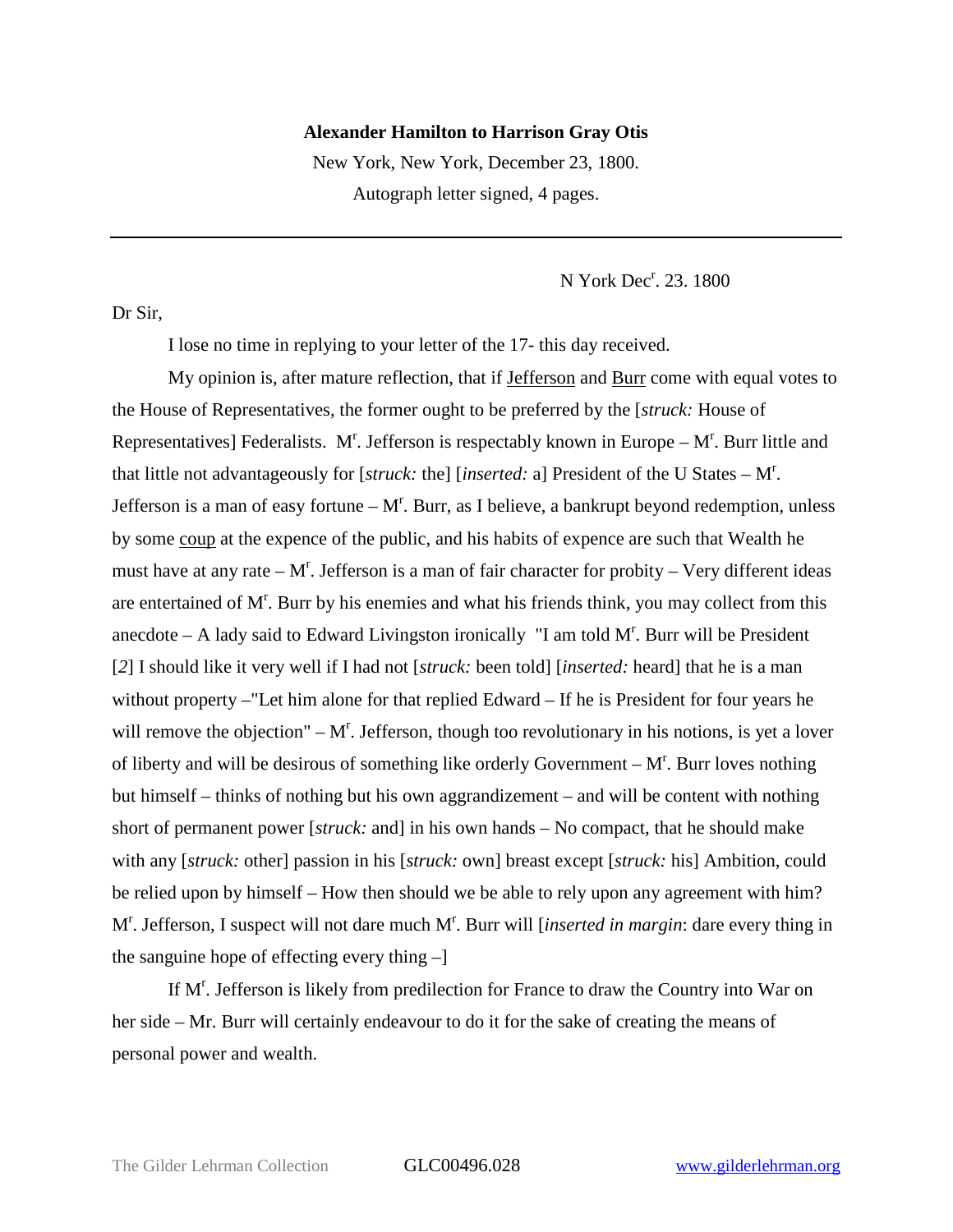## **Alexander Hamilton to Harrison Gray Otis**

New York, New York, December 23, 1800. Autograph letter signed, 4 pages.

N York Dec<sup>r</sup>. 23. 1800

Dr Sir,

I lose no time in replying to your letter of the 17- this day received.

My opinion is, after mature reflection, that if Jefferson and Burr come with equal votes to the House of Representatives, the former ought to be preferred by the [*struck:* House of Representatives] Federalists. M<sup>r</sup>. Jefferson is respectably known in Europe  $-M<sup>r</sup>$ . Burr little and that little not advantageously for [*struck:* the] [*inserted:* a] President of the U States – M<sup>r</sup> . Jefferson is a man of easy fortune  $-M<sup>r</sup>$ . Burr, as I believe, a bankrupt beyond redemption, unless by some coup at the expence of the public, and his habits of expence are such that Wealth he must have at any rate  $-M<sup>r</sup>$ . Jefferson is a man of fair character for probity  $-$  Very different ideas are entertained of M<sup>r</sup>. Burr by his enemies and what his friends think, you may collect from this anecdote  $-$  A lady said to Edward Livingston ironically "I am told  $M<sup>r</sup>$ . Burr will be President [*2*] I should like it very well if I had not [*struck:* been told] [*inserted:* heard] that he is a man without property –"Let him alone for that replied Edward – If he is President for four years he will remove the objection"  $-M<sup>r</sup>$ . Jefferson, though too revolutionary in his notions, is yet a lover of liberty and will be desirous of something like orderly Government  $-M<sup>r</sup>$ . Burr loves nothing but himself – thinks of nothing but his own aggrandizement – and will be content with nothing short of permanent power [*struck:* and] in his own hands – No compact, that he should make with any [*struck:* other] passion in his [*struck:* own] breast except [*struck:* his] Ambition, could be relied upon by himself – How then should we be able to rely upon any agreement with him? M<sup>r</sup>. Jefferson, I suspect will not dare much M<sup>r</sup>. Burr will [*inserted in margin*: dare every thing in the sanguine hope of effecting every thing –]

If M<sup>r</sup>. Jefferson is likely from predilection for France to draw the Country into War on her side – Mr. Burr will certainly endeavour to do it for the sake of creating the means of personal power and wealth.